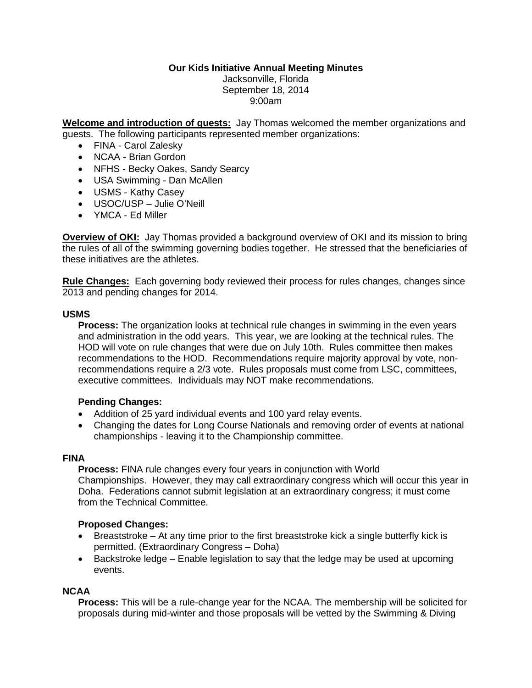### **Our Kids Initiative Annual Meeting Minutes**

Jacksonville, Florida September 18, 2014 9:00am

**Welcome and introduction of guests:** Jay Thomas welcomed the member organizations and guests. The following participants represented member organizations:

- FINA Carol Zalesky
- NCAA Brian Gordon
- NFHS Becky Oakes, Sandy Searcy
- USA Swimming Dan McAllen
- USMS Kathy Casey
- USOC/USP Julie O'Neill
- YMCA Ed Miller

**Overview of OKI:** Jay Thomas provided a background overview of OKI and its mission to bring the rules of all of the swimming governing bodies together. He stressed that the beneficiaries of these initiatives are the athletes.

**Rule Changes:** Each governing body reviewed their process for rules changes, changes since 2013 and pending changes for 2014.

#### **USMS**

**Process:** The organization looks at technical rule changes in swimming in the even years and administration in the odd years. This year, we are looking at the technical rules. The HOD will vote on rule changes that were due on July 10th. Rules committee then makes recommendations to the HOD. Recommendations require majority approval by vote, nonrecommendations require a 2/3 vote. Rules proposals must come from LSC, committees, executive committees. Individuals may NOT make recommendations.

### **Pending Changes:**

- Addition of 25 yard individual events and 100 yard relay events.
- Changing the dates for Long Course Nationals and removing order of events at national championships - leaving it to the Championship committee.

#### **FINA**

**Process:** FINA rule changes every four years in conjunction with World Championships. However, they may call extraordinary congress which will occur this year in Doha. Federations cannot submit legislation at an extraordinary congress; it must come from the Technical Committee.

### **Proposed Changes:**

- Breaststroke At any time prior to the first breaststroke kick a single butterfly kick is permitted. (Extraordinary Congress – Doha)
- Backstroke ledge Enable legislation to say that the ledge may be used at upcoming events.

#### **NCAA**

**Process:** This will be a rule-change year for the NCAA. The membership will be solicited for proposals during mid-winter and those proposals will be vetted by the Swimming & Diving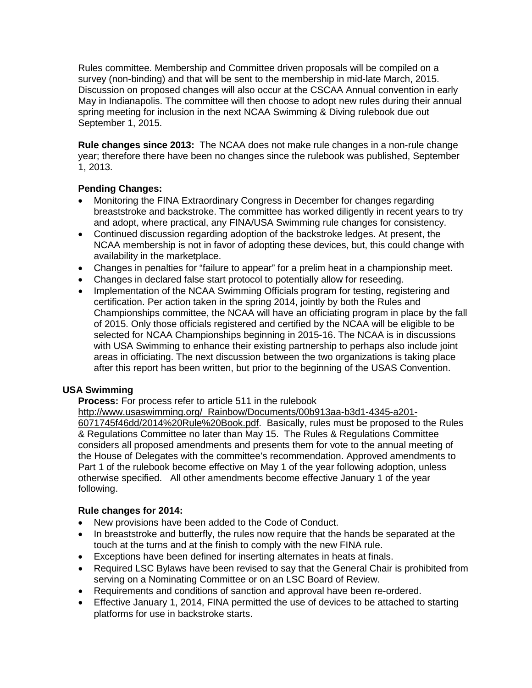Rules committee. Membership and Committee driven proposals will be compiled on a survey (non-binding) and that will be sent to the membership in mid-late March, 2015. Discussion on proposed changes will also occur at the CSCAA Annual convention in early May in Indianapolis. The committee will then choose to adopt new rules during their annual spring meeting for inclusion in the next NCAA Swimming & Diving rulebook due out September 1, 2015.

**Rule changes since 2013:** The NCAA does not make rule changes in a non-rule change year; therefore there have been no changes since the rulebook was published, September 1, 2013.

## **Pending Changes:**

- Monitoring the FINA Extraordinary Congress in December for changes regarding breaststroke and backstroke. The committee has worked diligently in recent years to try and adopt, where practical, any FINA/USA Swimming rule changes for consistency.
- Continued discussion regarding adoption of the backstroke ledges. At present, the NCAA membership is not in favor of adopting these devices, but, this could change with availability in the marketplace.
- Changes in penalties for "failure to appear" for a prelim heat in a championship meet.
- Changes in declared false start protocol to potentially allow for reseeding.
- Implementation of the NCAA Swimming Officials program for testing, registering and certification. Per action taken in the spring 2014, jointly by both the Rules and Championships committee, the NCAA will have an officiating program in place by the fall of 2015. Only those officials registered and certified by the NCAA will be eligible to be selected for NCAA Championships beginning in 2015-16. The NCAA is in discussions with USA Swimming to enhance their existing partnership to perhaps also include joint areas in officiating. The next discussion between the two organizations is taking place after this report has been written, but prior to the beginning of the USAS Convention.

## **USA Swimming**

**Process:** For process refer to article 511 in the rulebook

[http://www.usaswimming.org/\\_Rainbow/Documents/00b913aa-b3d1-4345-a201-](http://www.usaswimming.org/_Rainbow/Documents/00b913aa-b3d1-4345-a201-6071745f46dd/2014%20Rule%20Book.pdf)

[6071745f46dd/2014%20Rule%20Book.pdf.](http://www.usaswimming.org/_Rainbow/Documents/00b913aa-b3d1-4345-a201-6071745f46dd/2014%20Rule%20Book.pdf) Basically, rules must be proposed to the Rules & Regulations Committee no later than May 15. The Rules & Regulations Committee considers all proposed amendments and presents them for vote to the annual meeting of the House of Delegates with the committee's recommendation. Approved amendments to Part 1 of the rulebook become effective on May 1 of the year following adoption, unless otherwise specified. All other amendments become effective January 1 of the year following.

### **Rule changes for 2014:**

- New provisions have been added to the Code of Conduct.
- In breaststroke and butterfly, the rules now require that the hands be separated at the touch at the turns and at the finish to comply with the new FINA rule.
- Exceptions have been defined for inserting alternates in heats at finals.
- Required LSC Bylaws have been revised to say that the General Chair is prohibited from serving on a Nominating Committee or on an LSC Board of Review.
- Requirements and conditions of sanction and approval have been re-ordered.
- Effective January 1, 2014, FINA permitted the use of devices to be attached to starting platforms for use in backstroke starts.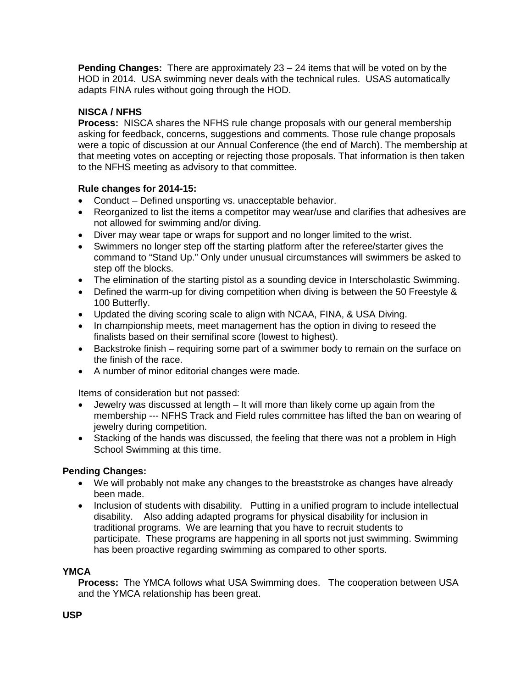**Pending Changes:** There are approximately 23 – 24 items that will be voted on by the HOD in 2014. USA swimming never deals with the technical rules. USAS automatically adapts FINA rules without going through the HOD.

# **NISCA / NFHS**

**Process:** NISCA shares the NFHS rule change proposals with our general membership asking for feedback, concerns, suggestions and comments. Those rule change proposals were a topic of discussion at our Annual Conference (the end of March). The membership at that meeting votes on accepting or rejecting those proposals. That information is then taken to the NFHS meeting as advisory to that committee.

## **Rule changes for 2014-15:**

- Conduct Defined unsporting vs. unacceptable behavior.
- Reorganized to list the items a competitor may wear/use and clarifies that adhesives are not allowed for swimming and/or diving.
- Diver may wear tape or wraps for support and no longer limited to the wrist.
- Swimmers no longer step off the starting platform after the referee/starter gives the command to "Stand Up." Only under unusual circumstances will swimmers be asked to step off the blocks.
- The elimination of the starting pistol as a sounding device in Interscholastic Swimming.
- Defined the warm-up for diving competition when diving is between the 50 Freestyle & 100 Butterfly.
- Updated the diving scoring scale to align with NCAA, FINA, & USA Diving.
- In championship meets, meet management has the option in diving to reseed the finalists based on their semifinal score (lowest to highest).
- Backstroke finish requiring some part of a swimmer body to remain on the surface on the finish of the race.
- A number of minor editorial changes were made.

Items of consideration but not passed:

- Jewelry was discussed at length It will more than likely come up again from the membership --- NFHS Track and Field rules committee has lifted the ban on wearing of jewelry during competition.
- Stacking of the hands was discussed, the feeling that there was not a problem in High School Swimming at this time.

### **Pending Changes:**

- We will probably not make any changes to the breaststroke as changes have already been made.
- Inclusion of students with disability. Putting in a unified program to include intellectual disability. Also adding adapted programs for physical disability for inclusion in traditional programs. We are learning that you have to recruit students to participate. These programs are happening in all sports not just swimming. Swimming has been proactive regarding swimming as compared to other sports.

### **YMCA**

**Process:** The YMCA follows what USA Swimming does. The cooperation between USA and the YMCA relationship has been great.

### **USP**